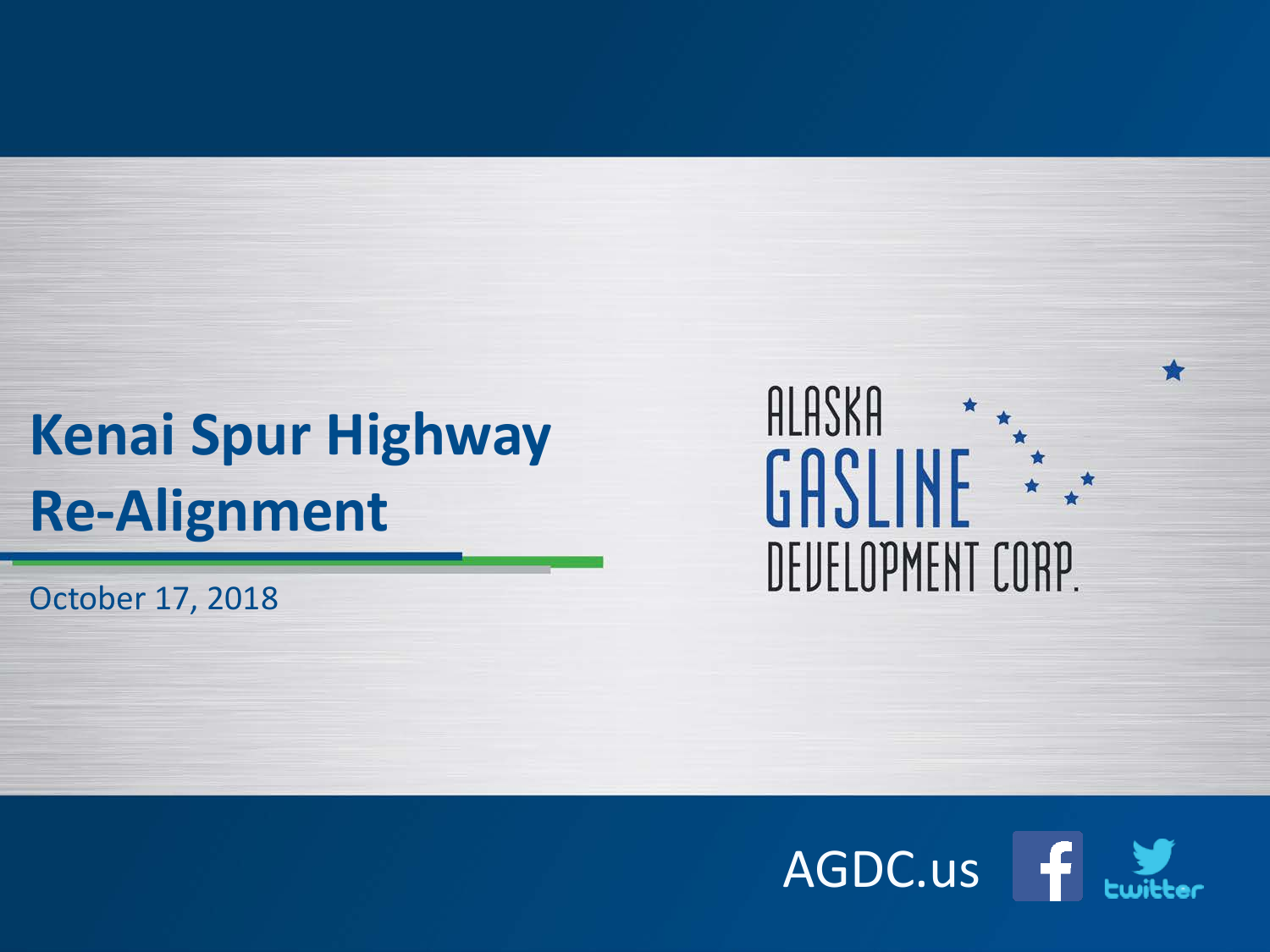## **Kenai Spur Highway Re-Alignment**

October 17, 2018

#### ALASKA GASLINE  $\begin{array}{ccc} & & \star & \\ & \star & & \\ \star & & & \end{array}$ DEUELOPMENT CORP.

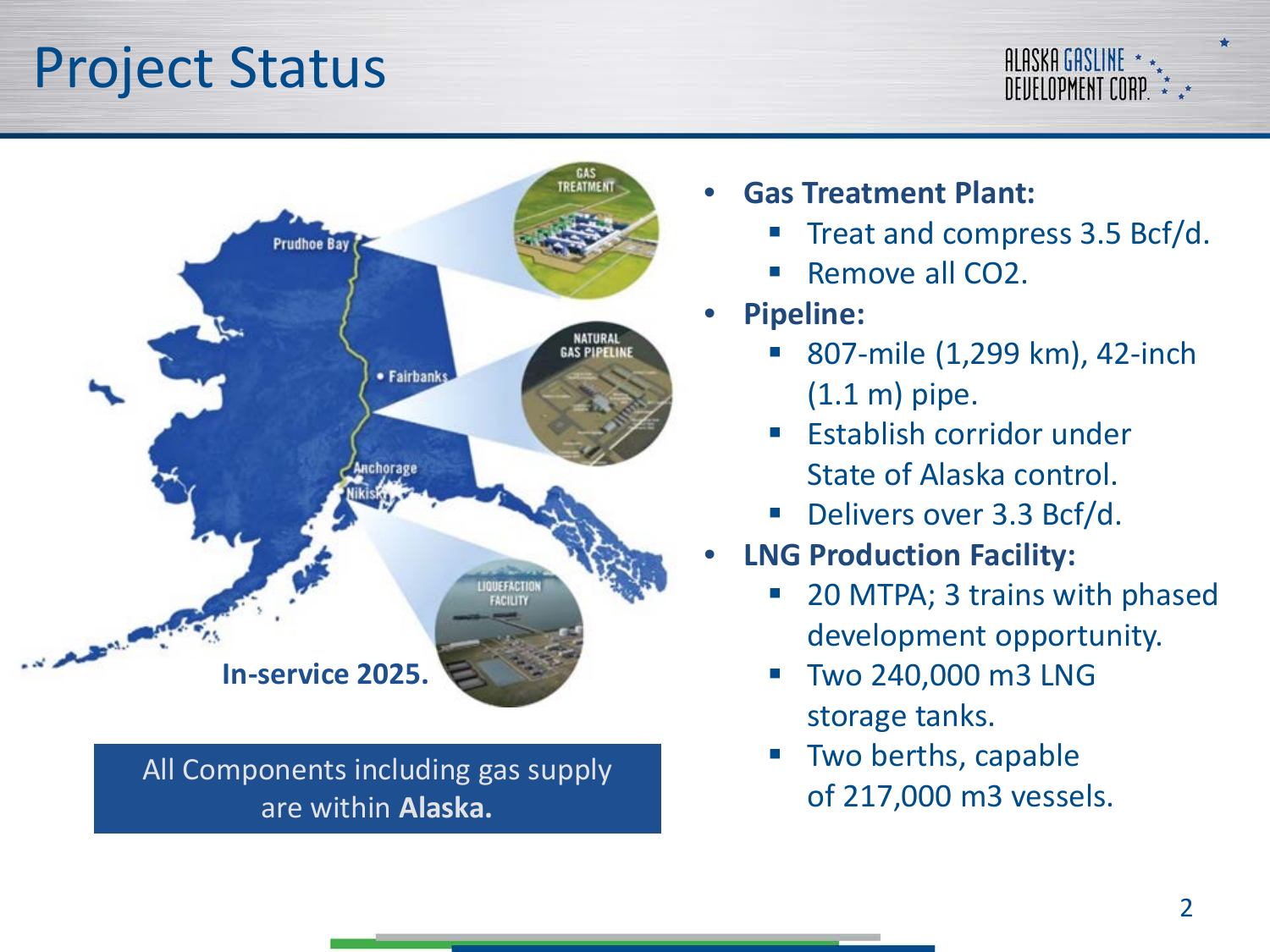#### Project Status

#### ALASKA GASLINE \* DEUELOPMENT CORP \* \*\*



All Components including gas supply<br>of 217,000 m3 vessels. are within **Alaska.**

- **Gas Treatment Plant:**
	- Treat and compress 3.5 Bcf/d.
	- Remove all CO2.
- **Pipeline:**
	- 807-mile (1,299 km), 42-inch (1.1 m) pipe.
	- Establish corridor under State of Alaska control.
	- Delivers over 3.3 Bcf/d.
- **LNG Production Facility:**
	- 20 MTPA; 3 trains with phased development opportunity.
	- Two 240,000 m3 LNG storage tanks.
	- Two berths, capable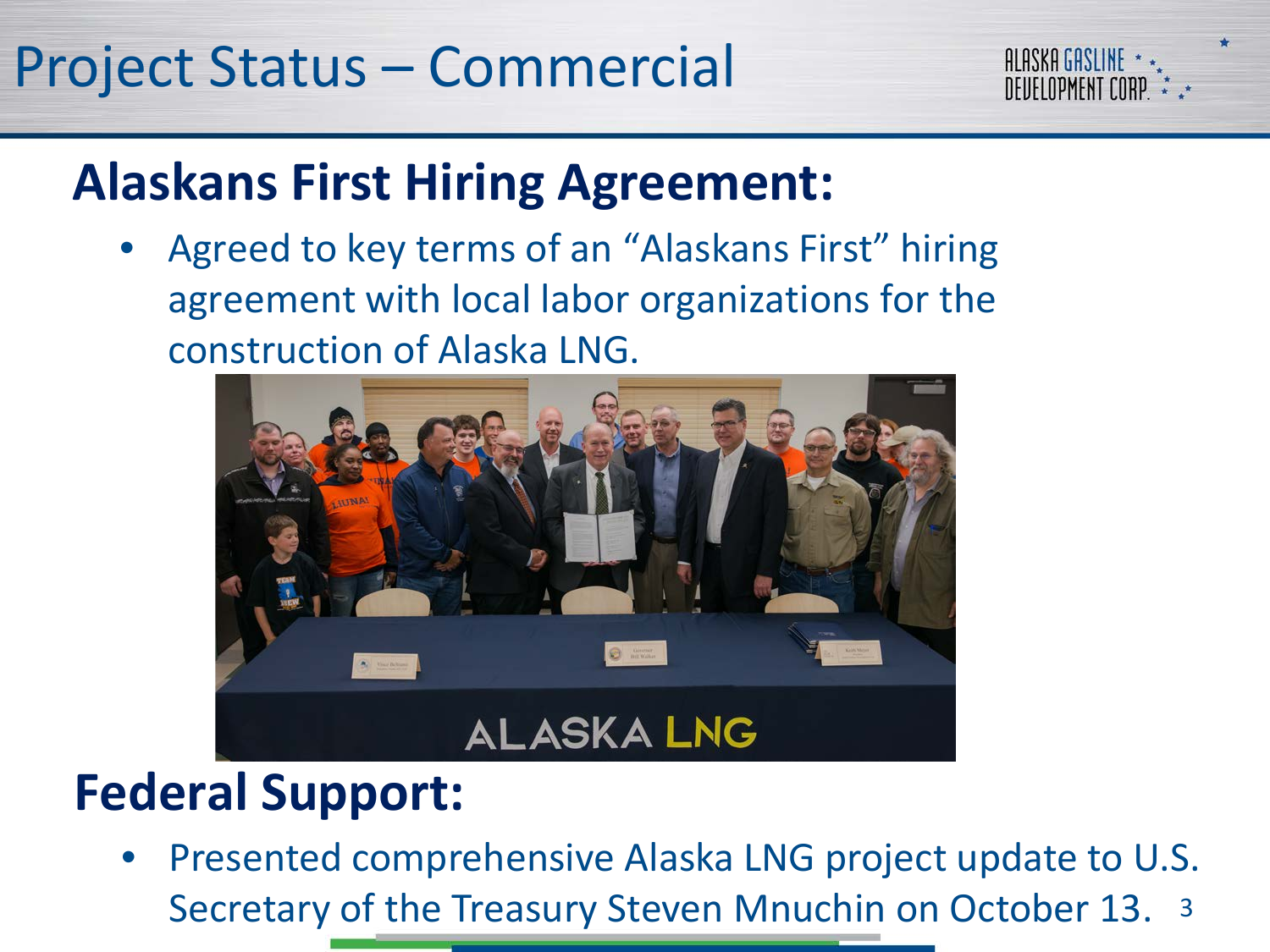

#### **Alaskans First Hiring Agreement:**

• Agreed to key terms of an "Alaskans First" hiring agreement with local labor organizations for the construction of Alaska LNG.



#### **Federal Support:**

Secretary of the Treasury Steven Mnuchin on October 13. 3 • Presented comprehensive Alaska LNG project update to U.S.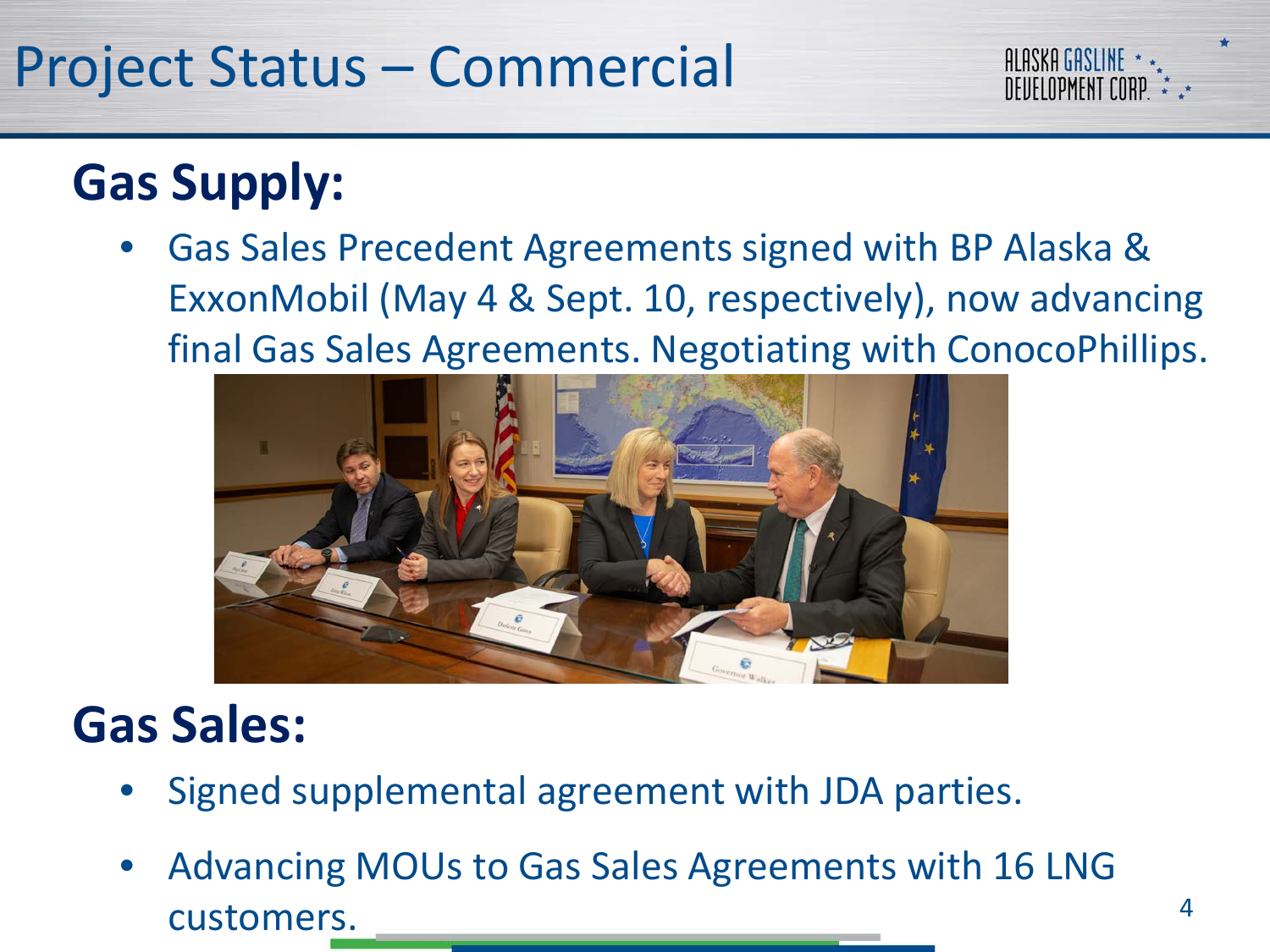### Project Status – Commercial



• Gas Sales Precedent Agreements signed with BP Alaska & ExxonMobil (May 4 & Sept. 10, respectively), now advancing final Gas Sales Agreements. Negotiating with ConocoPhillips.



#### **Gas Sales:**

- Signed supplemental agreement with JDA parties.
- Advancing MOUs to Gas Sales Agreements with 16 LNG customers.

**ALASKA GASLINE** *DEIJELOPMENT CORP*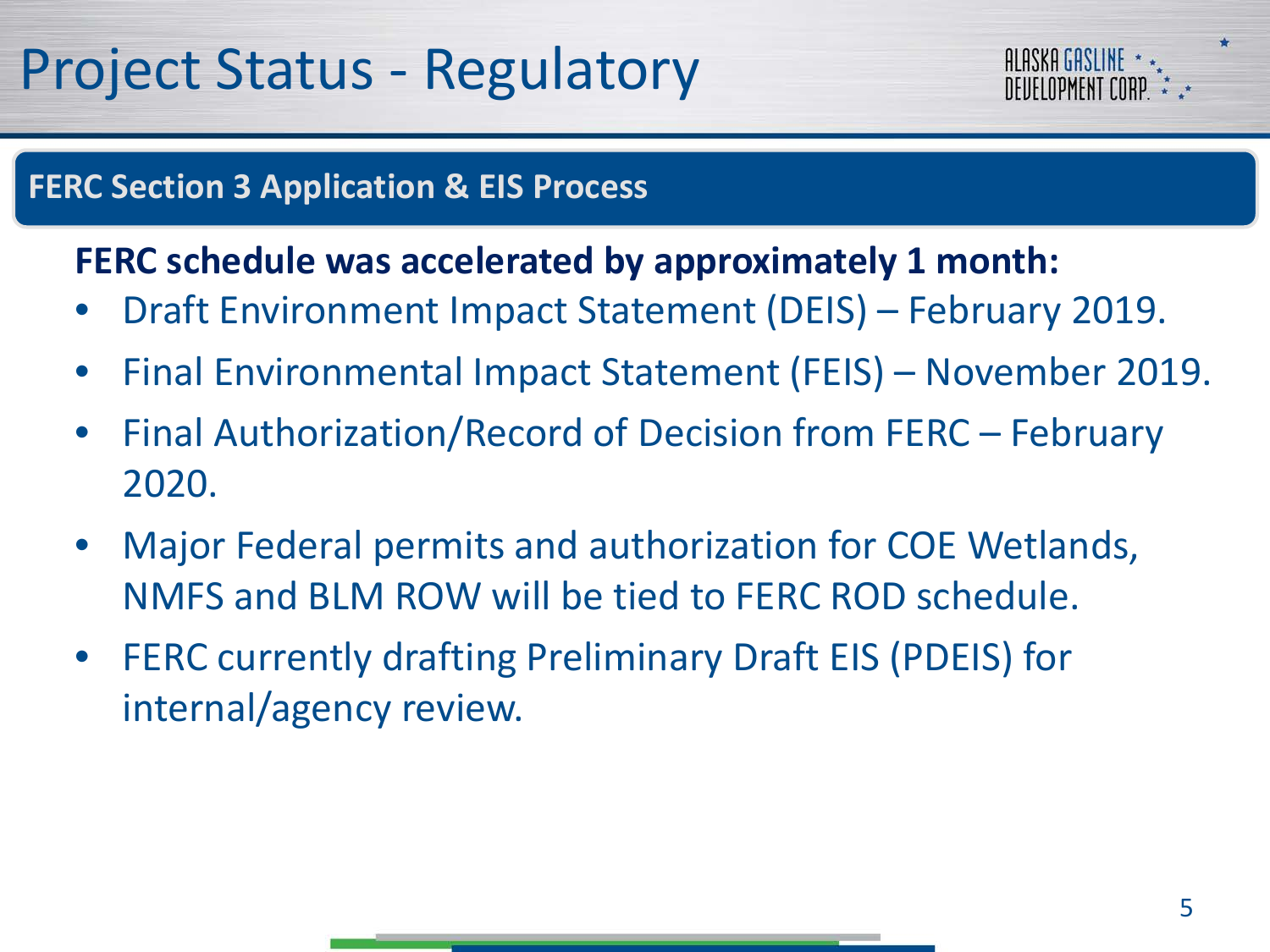

#### **FERC Section 3 Application & EIS Process**

#### **FERC schedule was accelerated by approximately 1 month:**

- Draft Environment Impact Statement (DEIS) February 2019.
- Final Environmental Impact Statement (FEIS) November 2019.
- Final Authorization/Record of Decision from FERC February 2020.
- Major Federal permits and authorization for COE Wetlands, NMFS and BLM ROW will be tied to FERC ROD schedule.
- FERC currently drafting Preliminary Draft EIS (PDEIS) for internal/agency review.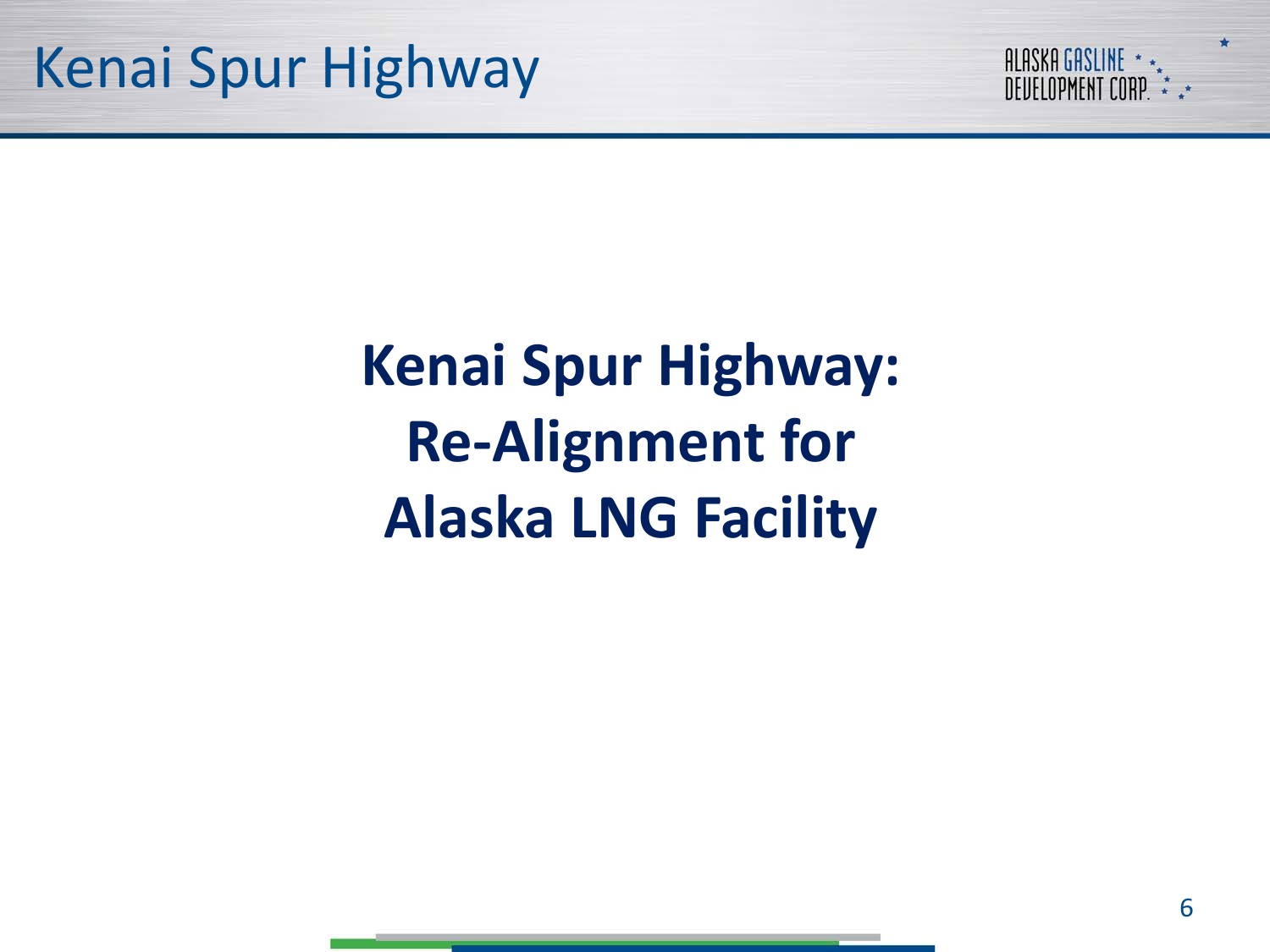

## **Kenai Spur Highway: Re-Alignment for Alaska LNG Facility**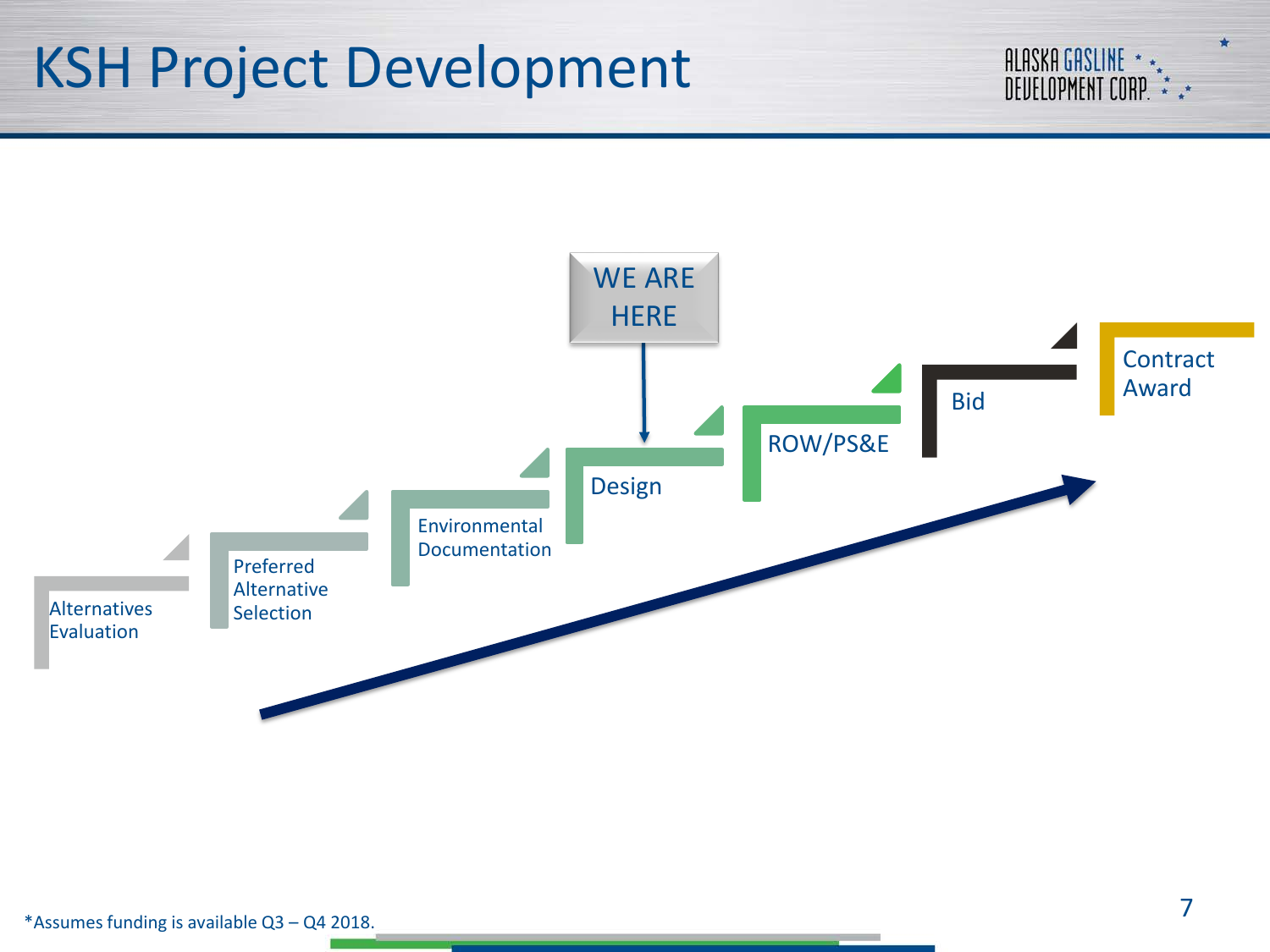#### KSH Project Development



ALASKA GASLINE \* \*<br>Deuelopment corp. \* \* \*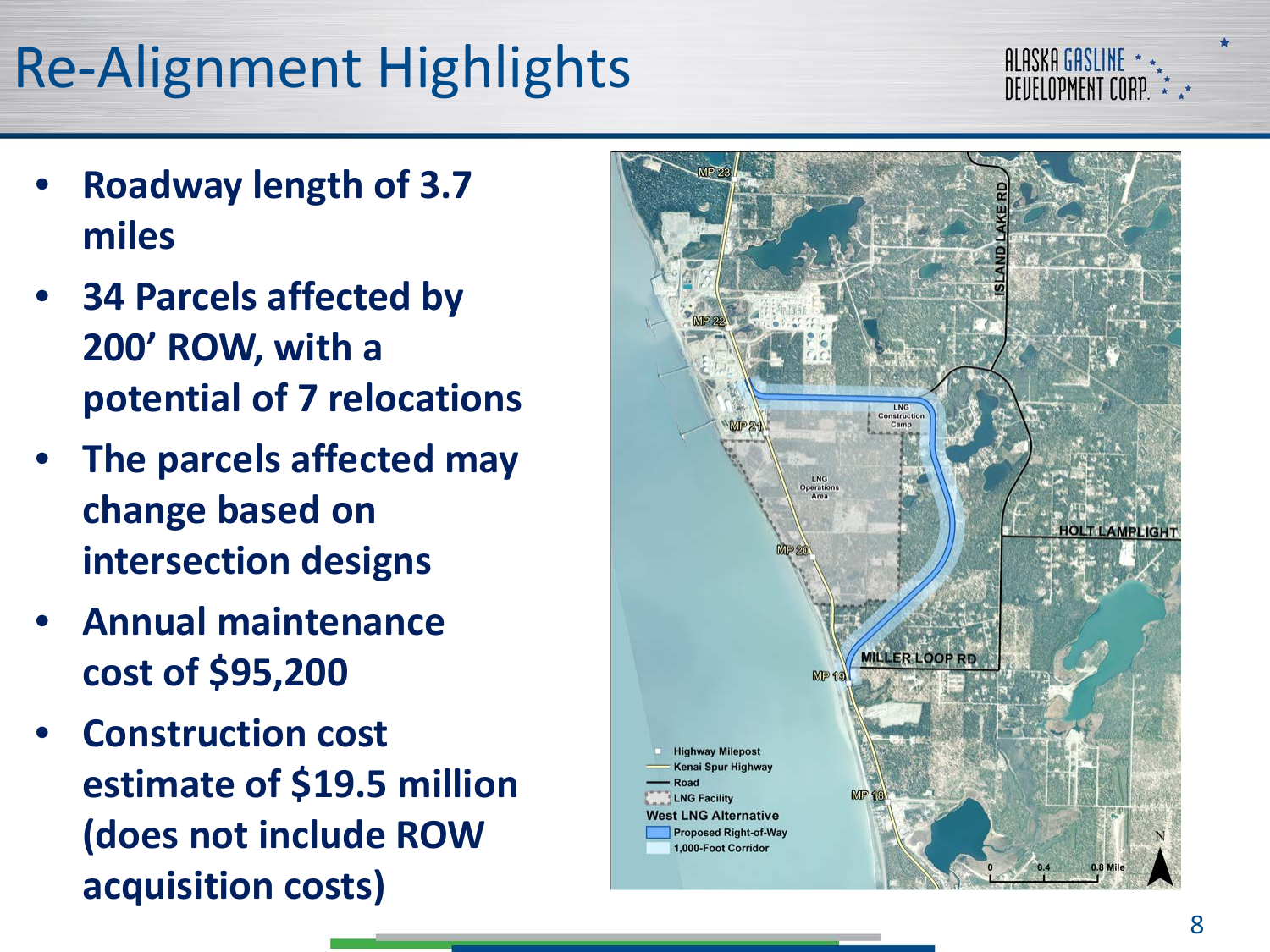## Re -Alignment Highlights



- **Roadway length of 3.7 miles**
- **34 Parcels affected by 200' ROW, with a potential of 7 relocations**
- **The parcels affected may change based on intersection designs**
- **Annual maintenance cost of \$95,200**
- **Construction cost estimate of \$19.5 million (does not include ROW acquisition costs)**

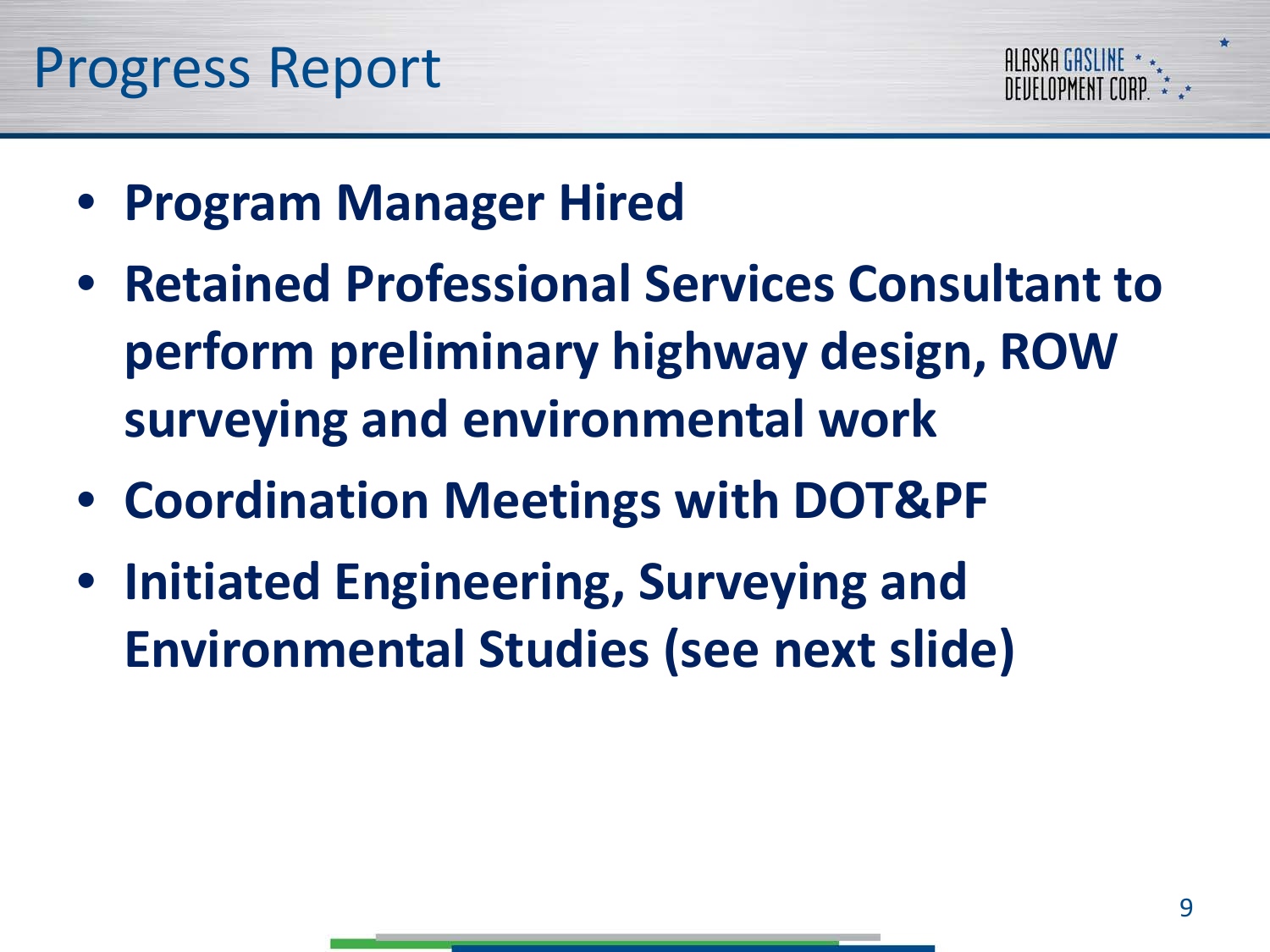

- **Program Manager Hired**
- **Retained Professional Services Consultant to perform preliminary highway design, ROW surveying and environmental work**
- **Coordination Meetings with DOT&PF**
- **Initiated Engineering, Surveying and Environmental Studies (see next slide)**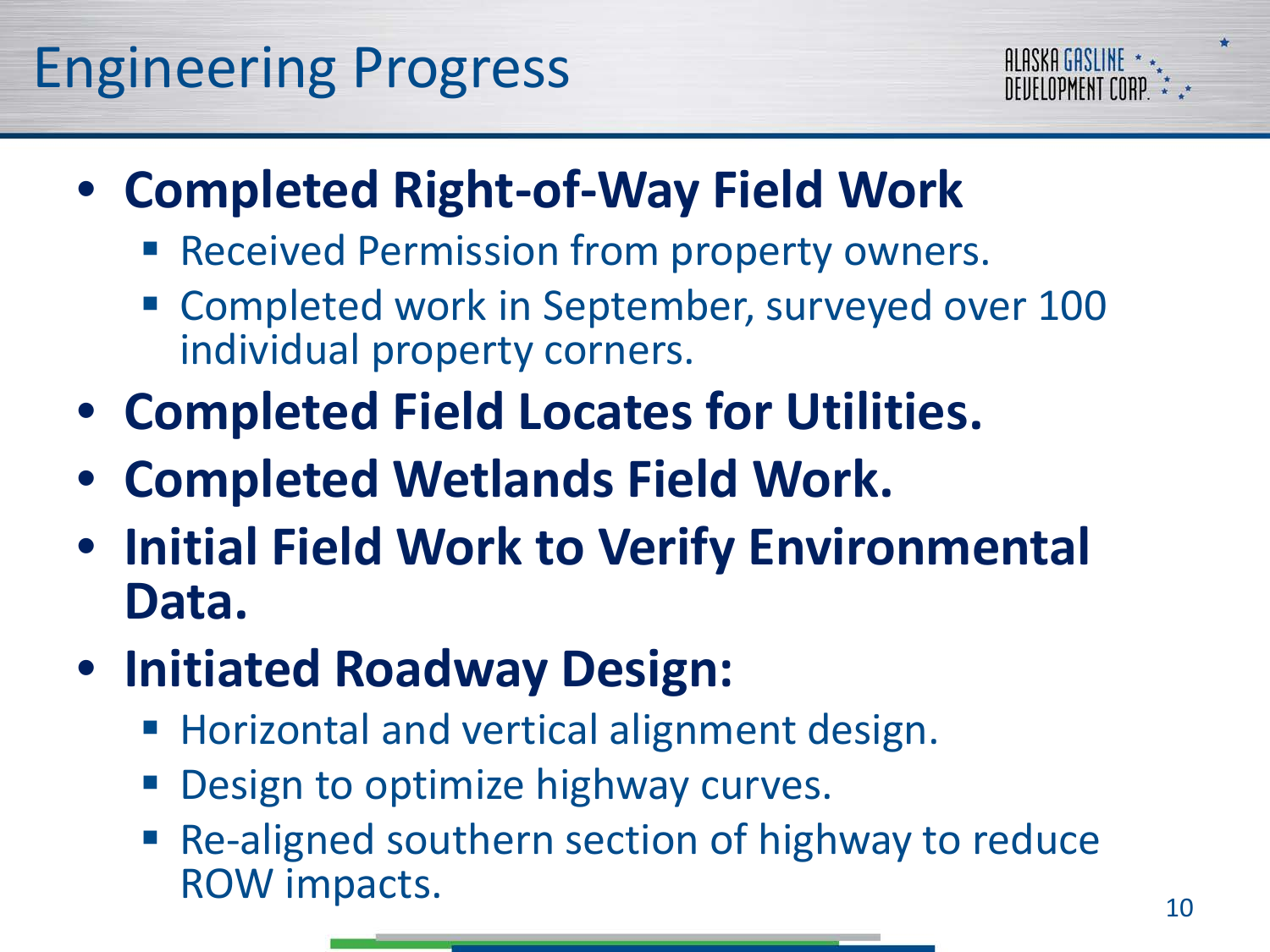

- **Completed Right-of-Way Field Work**
	- **Received Permission from property owners.**
	- **E** Completed work in September, surveyed over 100 individual property corners.
- **Completed Field Locates for Utilities.**
- **Completed Wetlands Field Work.**
- **Initial Field Work to Verify Environmental Data.**
- **Initiated Roadway Design:**
	- **Horizontal and vertical alignment design.**
	- Design to optimize highway curves.
	- Re-aligned southern section of highway to reduce ROW impacts. 10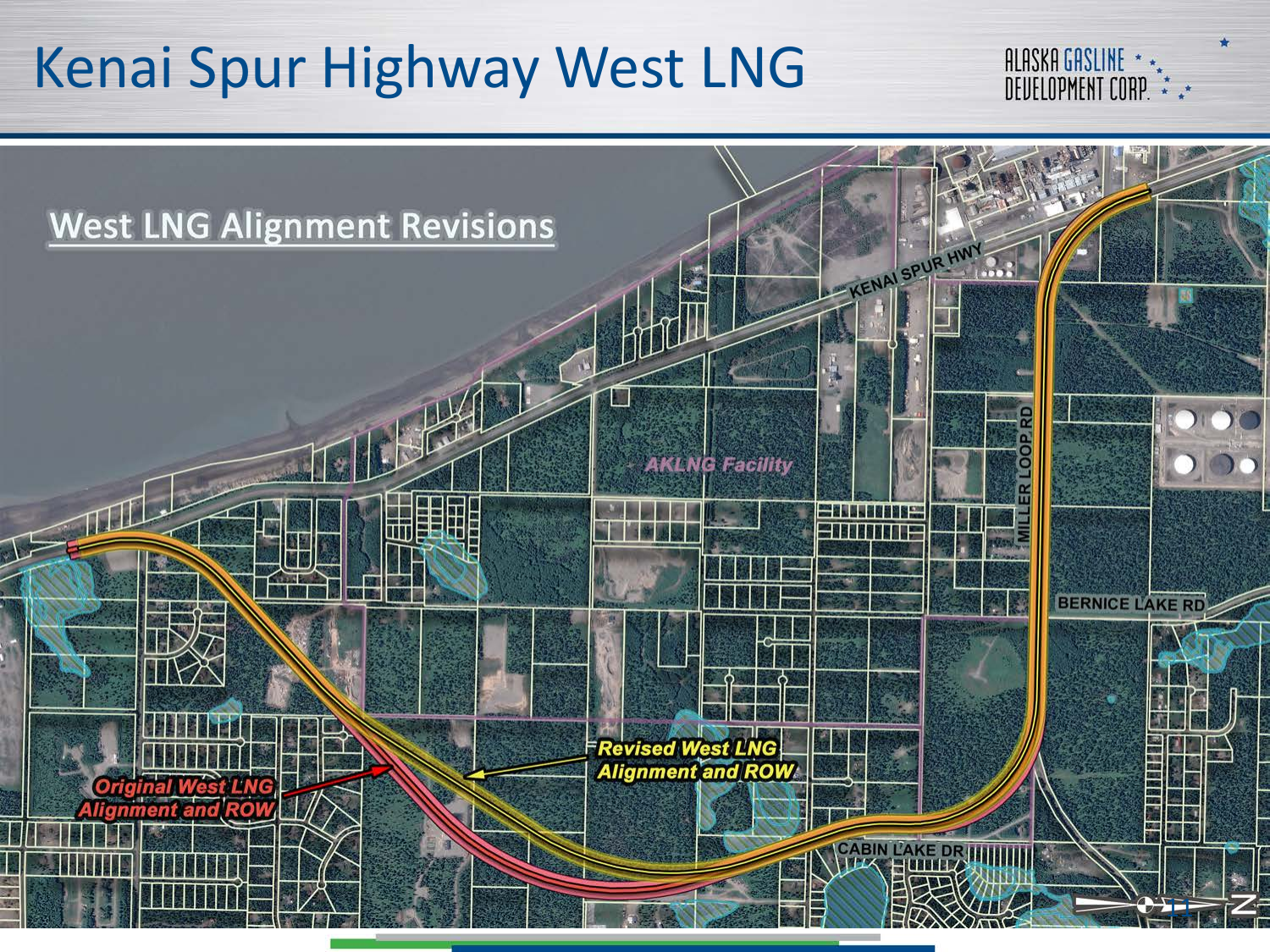### Kenai Spur Highway West LNG



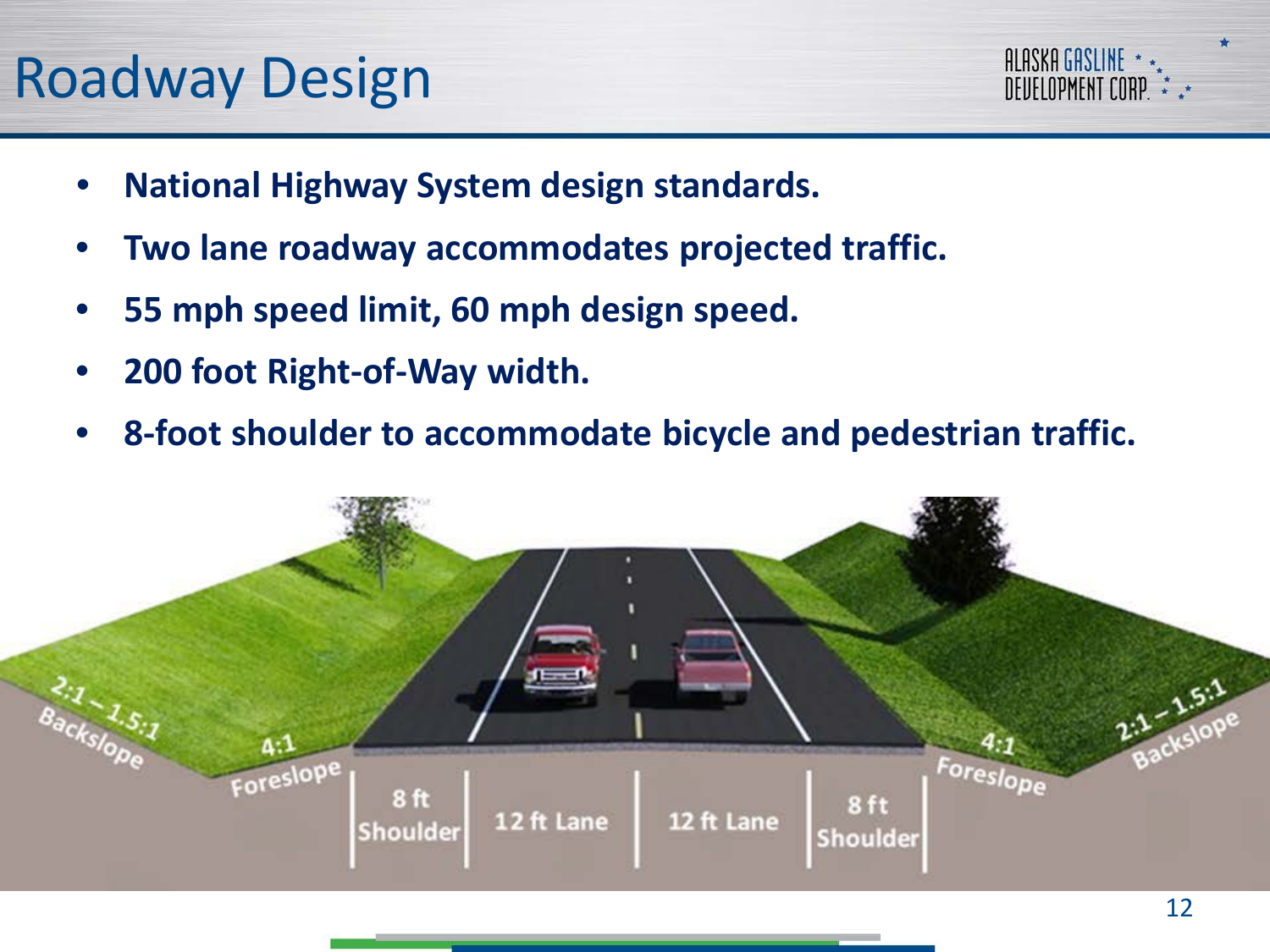#### Roadway Design



- **National Highway System design standards.**
- **Two lane roadway accommodates projected traffic.**
- **55 mph speed limit, 60 mph design speed.**
- **200 foot Right-of-Way width.**
- **8-foot shoulder to accommodate bicycle and pedestrian traffic.**

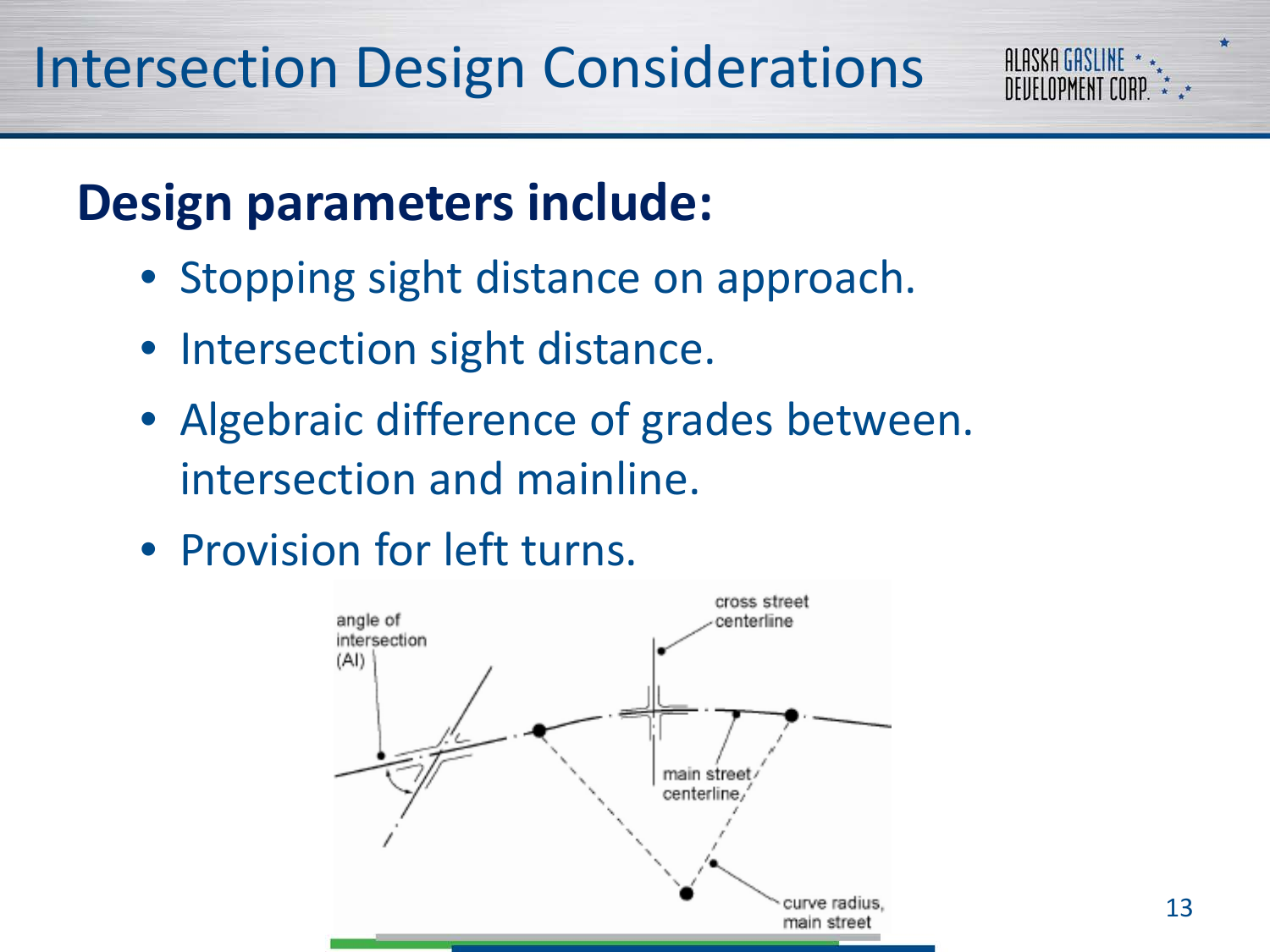#### **Design parameters include:**

- Stopping sight distance on approach.
- Intersection sight distance.
- Algebraic difference of grades between. intersection and mainline.

• Provision for left turns.



**ALASKA GASLINE** *DEIIELOPMENT COR*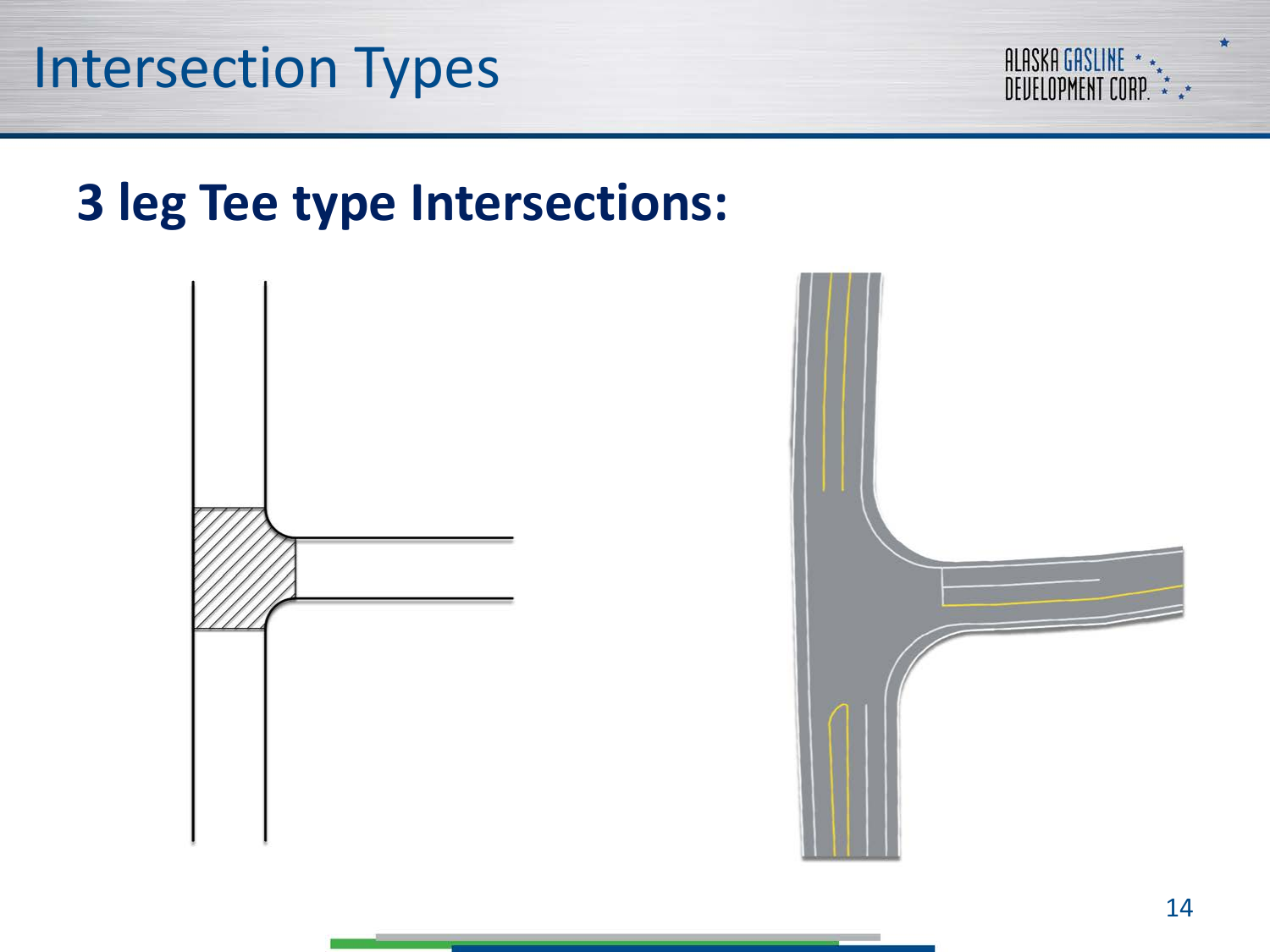

#### **3 leg Tee type Intersections:**



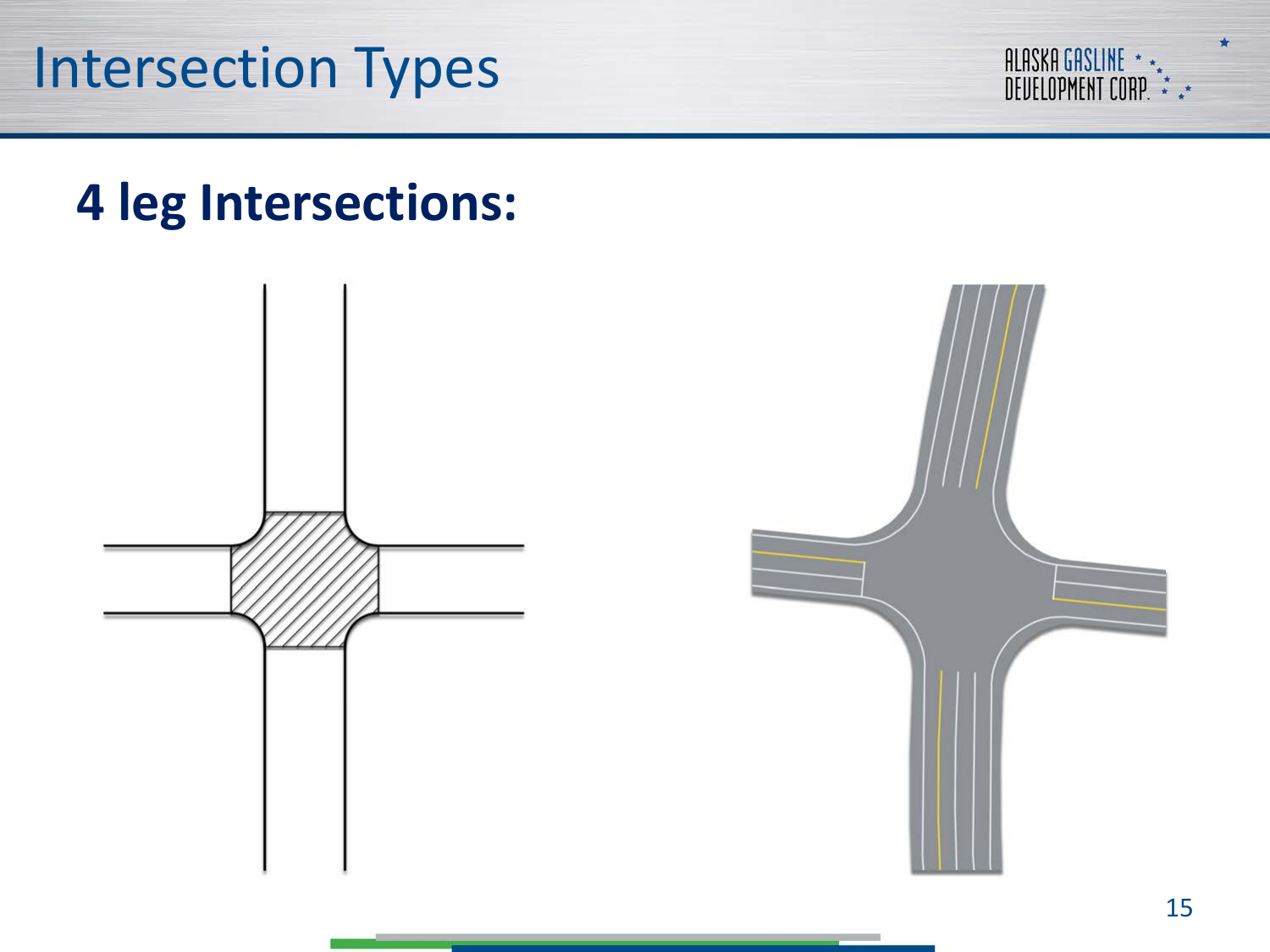



#### **4 leg Intersections:**



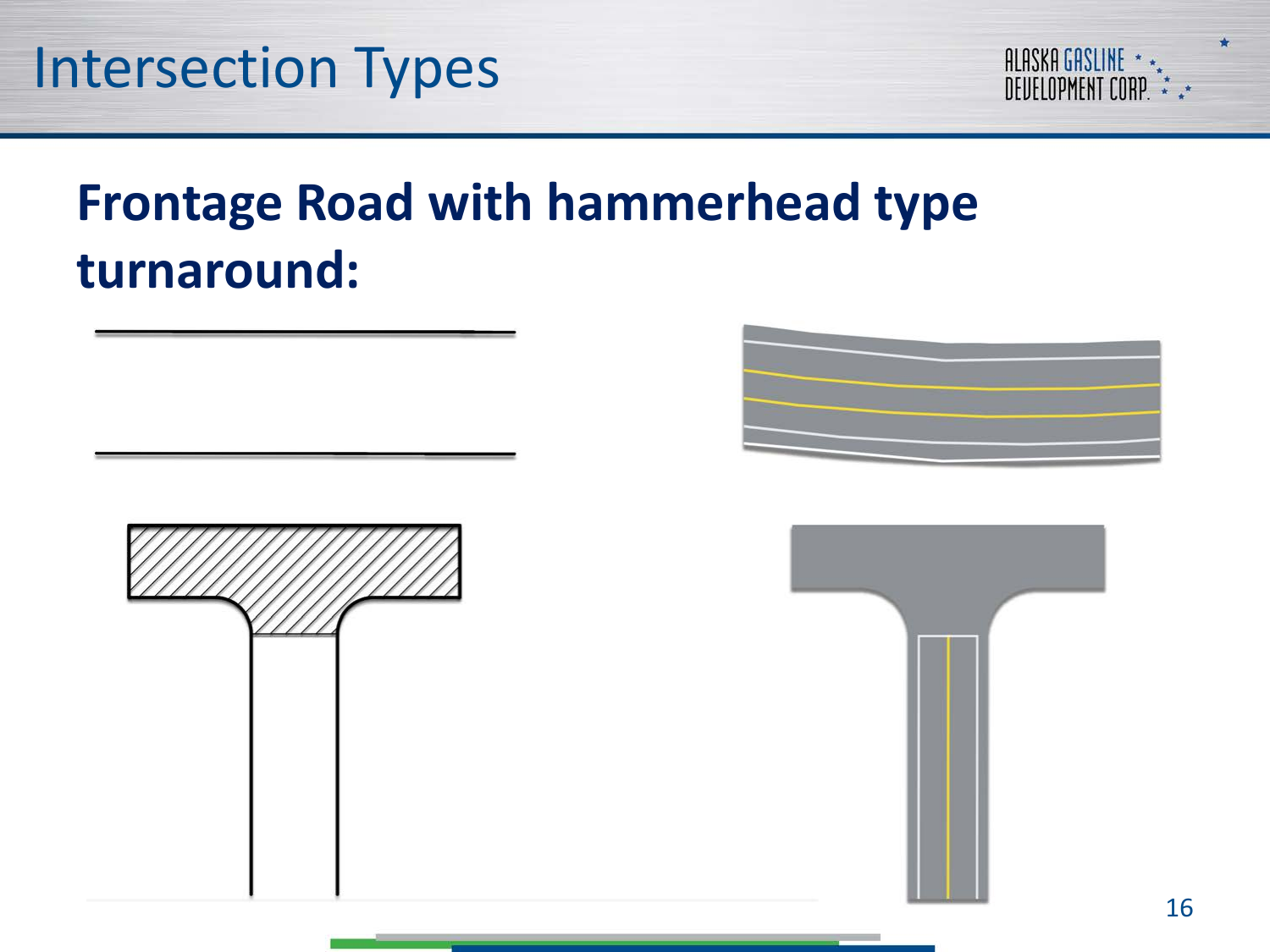

#### **Frontage Road with hammerhead type turnaround:**





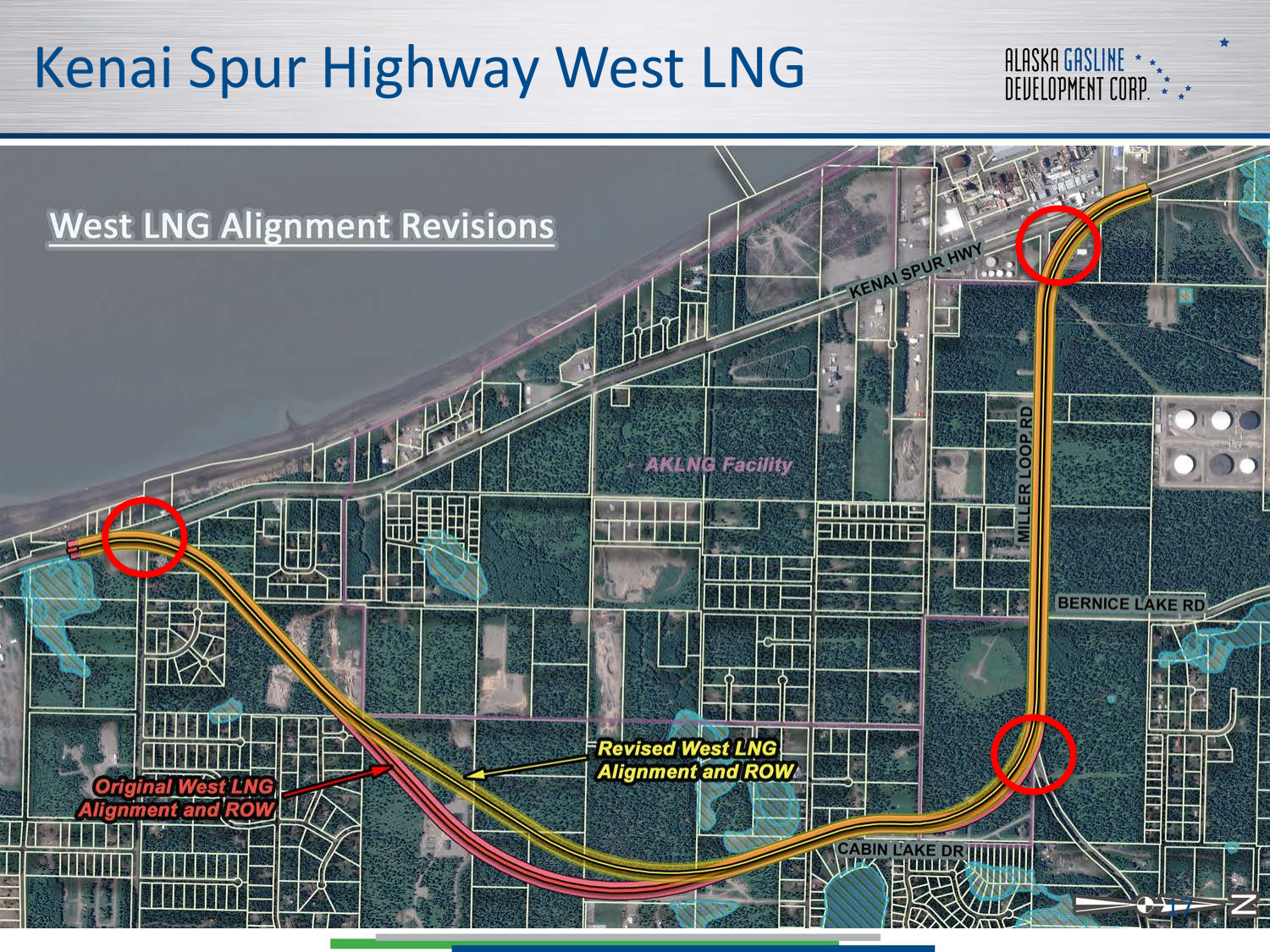### Kenai Spur Highway West LNG



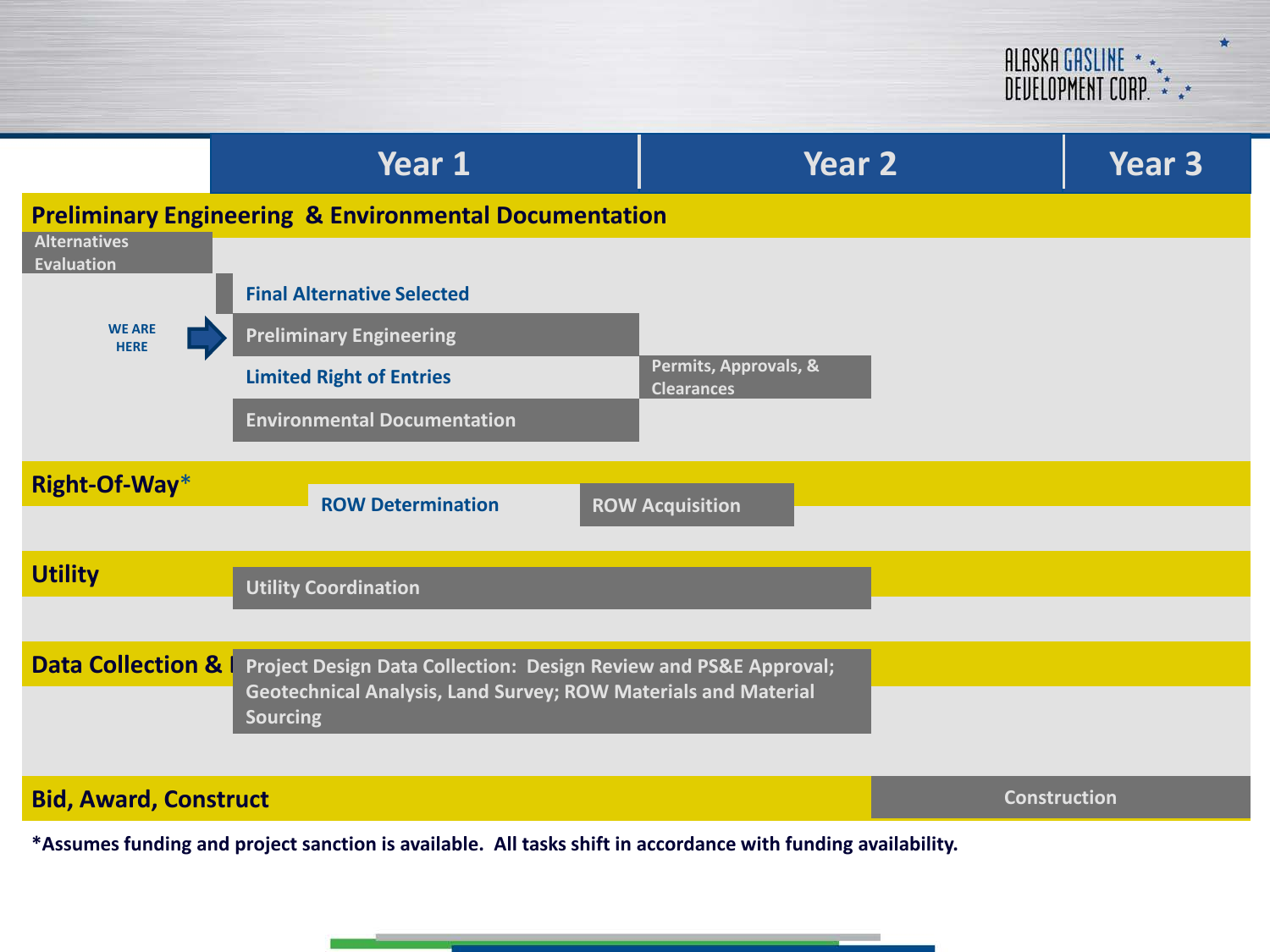ALASKA GASLINE \* \*<br>Deuelopment Corp. \* \*\*

|                                                                                                              | Year 1                                                                            | Year 2                                     | Year 3              |
|--------------------------------------------------------------------------------------------------------------|-----------------------------------------------------------------------------------|--------------------------------------------|---------------------|
| <b>Preliminary Engineering &amp; Environmental Documentation</b><br><b>Alternatives</b><br><b>Evaluation</b> |                                                                                   |                                            |                     |
| <b>WE ARE</b><br><b>HERE</b>                                                                                 | <b>Final Alternative Selected</b>                                                 |                                            |                     |
|                                                                                                              | <b>Preliminary Engineering</b>                                                    |                                            |                     |
|                                                                                                              | <b>Limited Right of Entries</b>                                                   | Permits, Approvals, &<br><b>Clearances</b> |                     |
|                                                                                                              | <b>Environmental Documentation</b>                                                |                                            |                     |
| Right-Of-Way*                                                                                                | <b>ROW Determination</b><br><b>ROW Acquisition</b>                                |                                            |                     |
|                                                                                                              |                                                                                   |                                            |                     |
| <b>Utility</b>                                                                                               | <b>Utility Coordination</b>                                                       |                                            |                     |
|                                                                                                              |                                                                                   |                                            |                     |
| <b>Data Collection &amp; I</b>                                                                               | Project Design Data Collection: Design Review and PS&E Approval;                  |                                            |                     |
|                                                                                                              | Geotechnical Analysis, Land Survey; ROW Materials and Material<br><b>Sourcing</b> |                                            |                     |
|                                                                                                              |                                                                                   |                                            |                     |
| <b>Bid, Award, Construct</b>                                                                                 |                                                                                   |                                            | <b>Construction</b> |
| *Assumes funding and project sanction is available. All tasks shift in accordance with funding availability. |                                                                                   |                                            |                     |

**COLLEGE**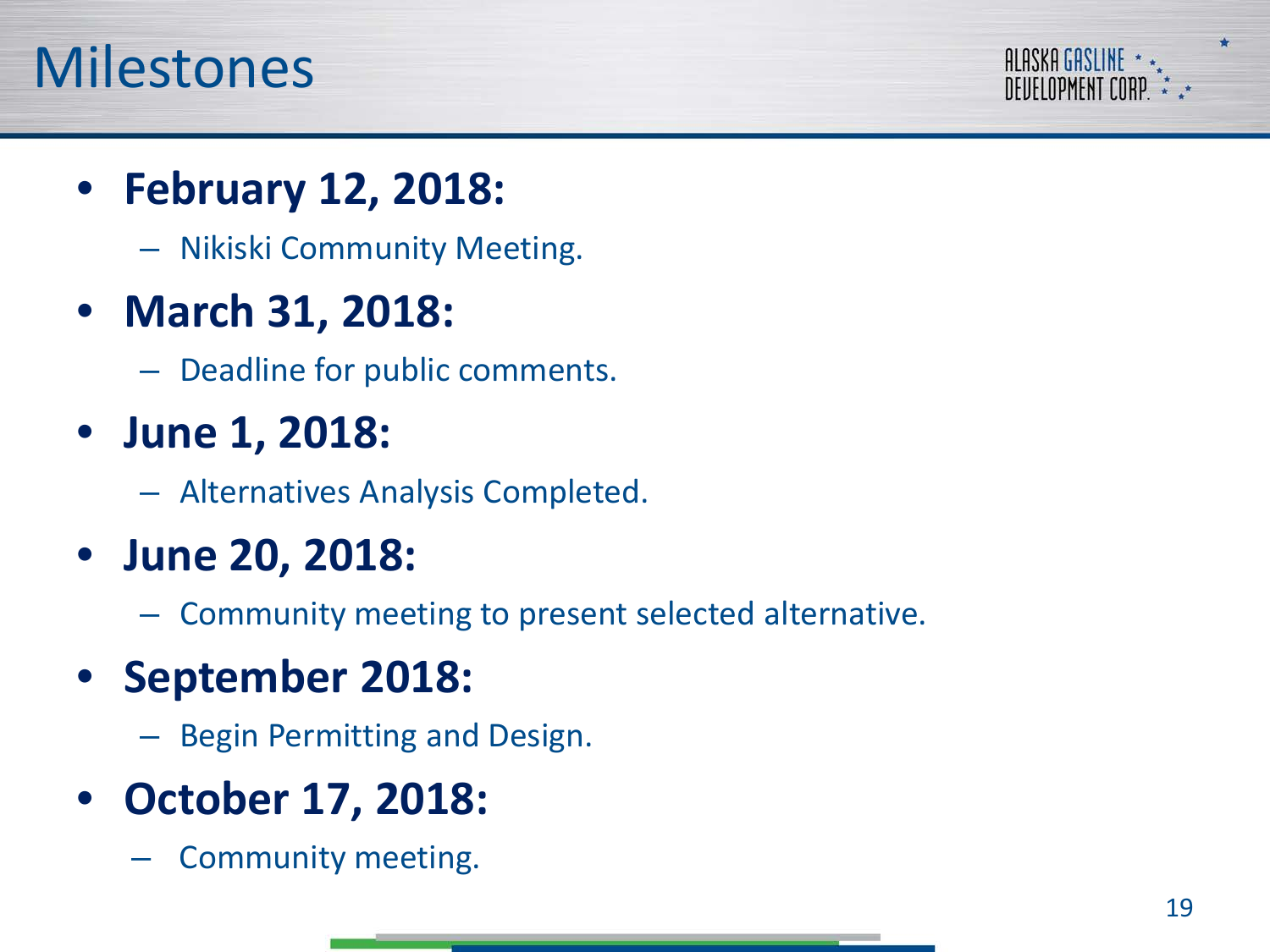#### Milestones



- **February 12, 2018:**
	- Nikiski Community Meeting.

#### • **March 31, 2018:**

– Deadline for public comments.

- **June 1, 2018:**
	- Alternatives Analysis Completed.
- **June 20, 2018:**
	- Community meeting to present selected alternative.

#### • **September 2018:**

- Begin Permitting and Design.
- **October 17, 2018:**
	- Community meeting.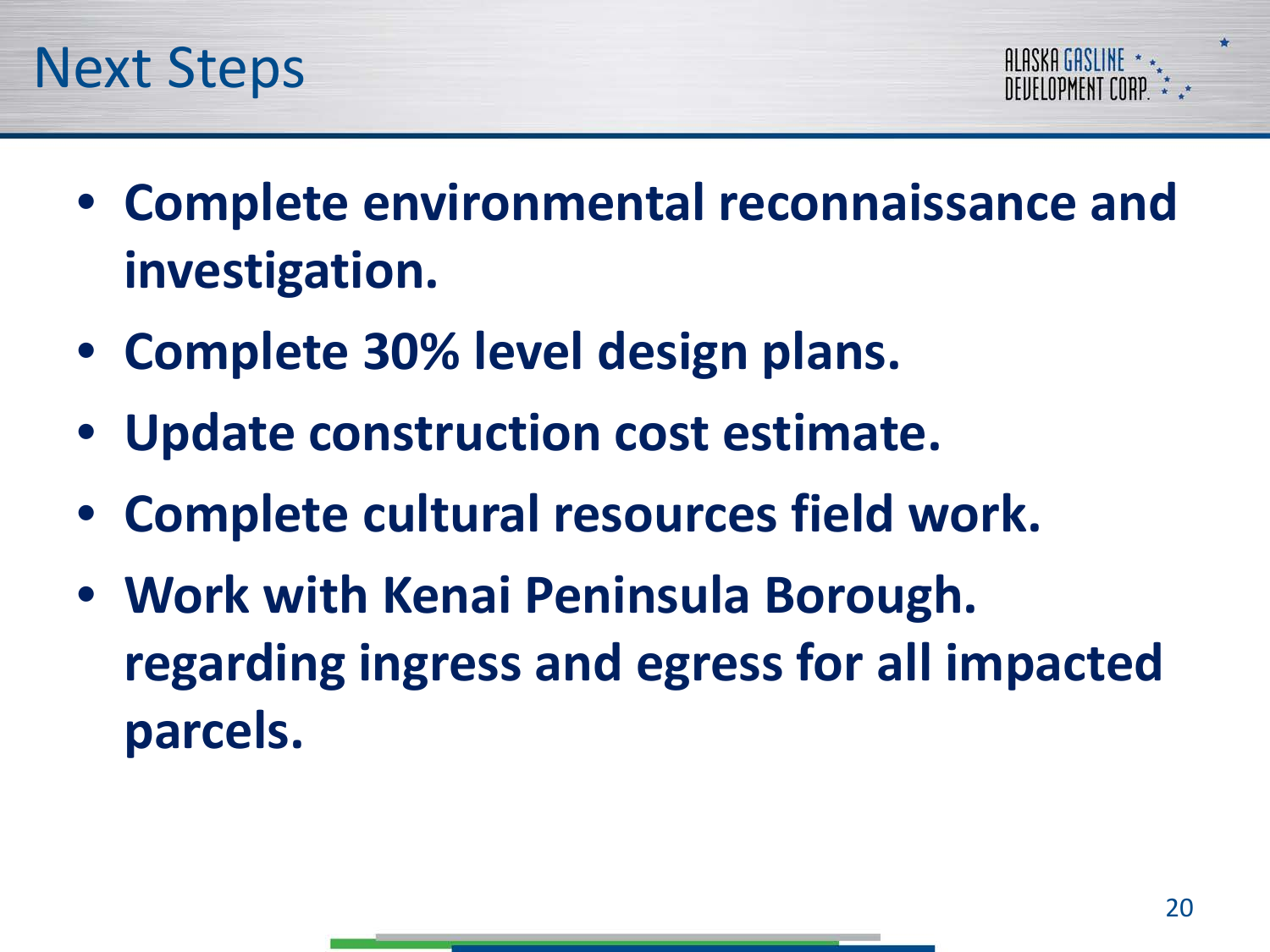



- **Complete environmental reconnaissance and investigation.**
- **Complete 30% level design plans.**
- **Update construction cost estimate.**
- **Complete cultural resources field work.**
- **Work with Kenai Peninsula Borough. regarding ingress and egress for all impacted parcels.**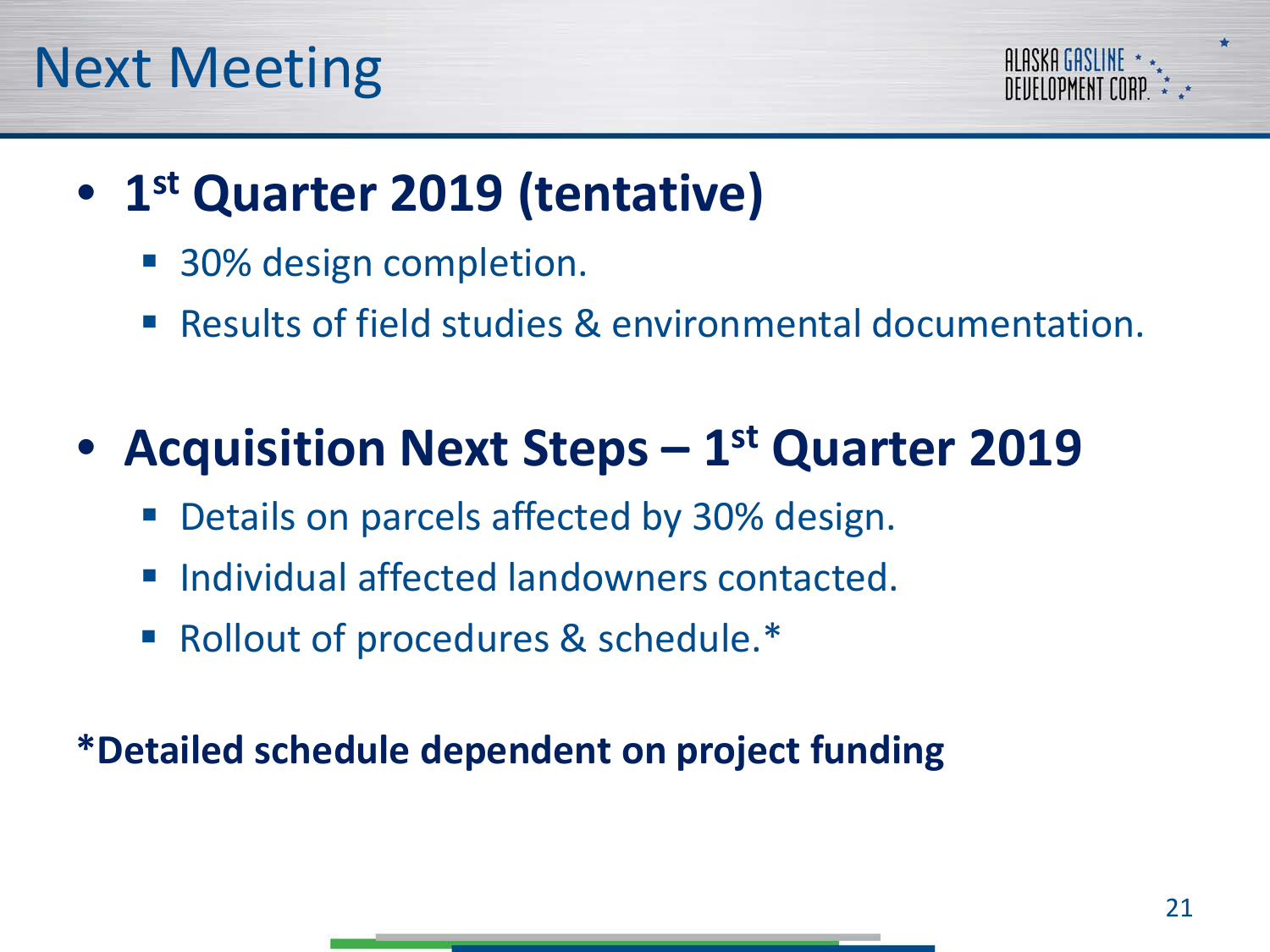



#### • **1st Quarter 2019 (tentative)**

- 30% design completion.
- Results of field studies & environmental documentation.

#### • **Acquisition Next Steps – 1st Quarter 2019**

- Details on parcels affected by 30% design.
- Individual affected landowners contacted.
- Rollout of procedures & schedule.<sup>\*</sup>

**\*Detailed schedule dependent on project funding**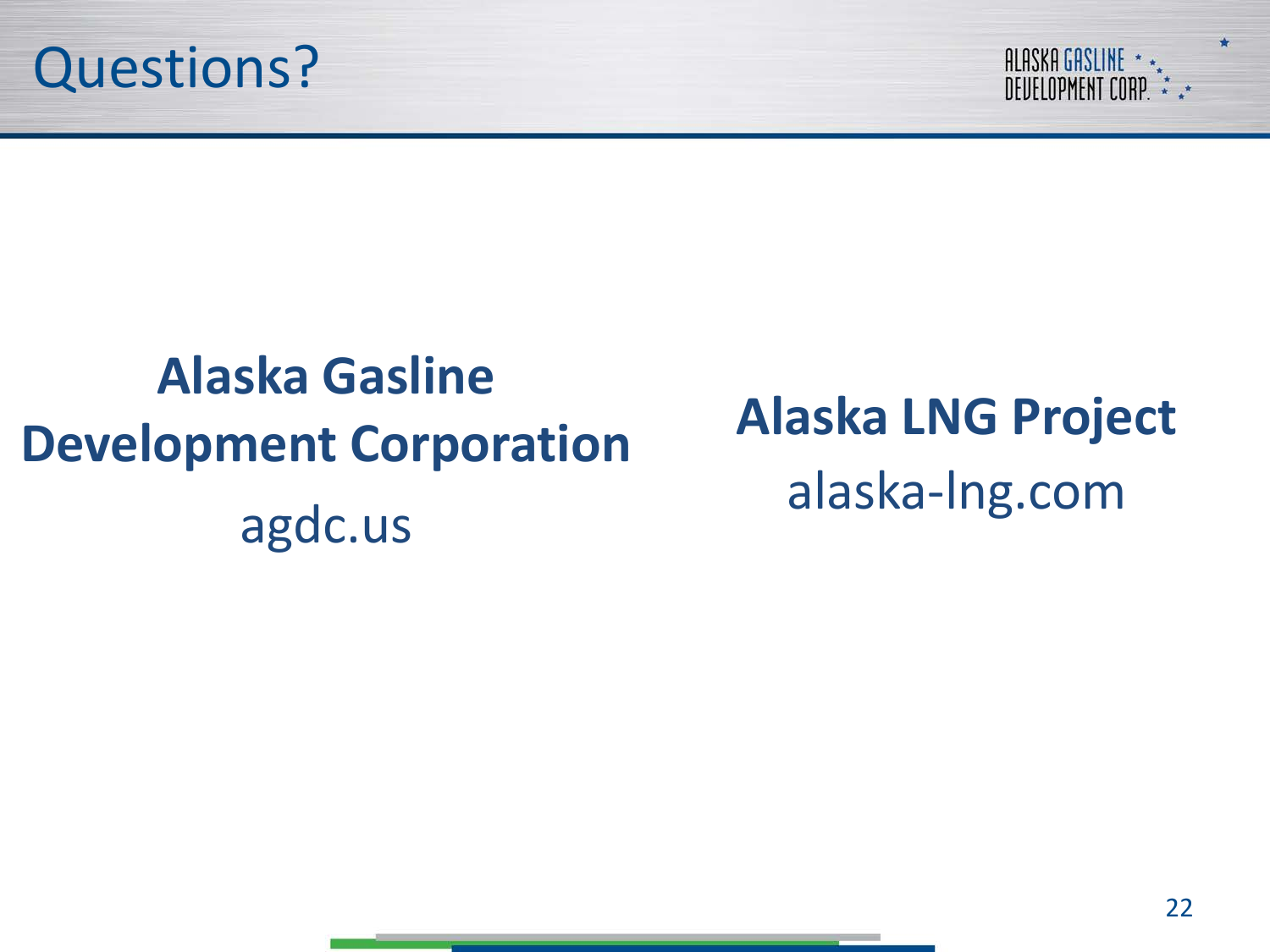



## **Alaska Gasline Development Corporation** agdc.us

**Alaska LNG Project** alaska-lng.com